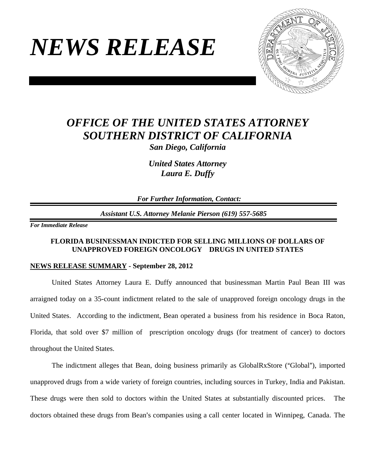# *NEWS RELEASE*



## *OFFICE OF THE UNITED STATES ATTORNEY SOUTHERN DISTRICT OF CALIFORNIA San Diego, California*

*United States Attorney Laura E. Duffy* 

 *For Further Information, Contact:*

*Assistant U.S. Attorney Melanie Pierson (619) 557-5685*

*For Immediate Release* 

#### **FLORIDA BUSINESSMAN INDICTED FOR SELLING MILLIONS OF DOLLARS OF UNAPPROVED FOREIGN ONCOLOGY DRUGS IN UNITED STATES**

#### **NEWS RELEASE SUMMARY - September 28, 2012**

United States Attorney Laura E. Duffy announced that businessman Martin Paul Bean III was arraigned today on a 35-count indictment related to the sale of unapproved foreign oncology drugs in the United States. According to the indictment, Bean operated a business from his residence in Boca Raton, Florida, that sold over \$7 million of prescription oncology drugs (for treatment of cancer) to doctors throughout the United States.

The indictment alleges that Bean, doing business primarily as GlobalRxStore ("Global"), imported unapproved drugs from a wide variety of foreign countries, including sources in Turkey, India and Pakistan. These drugs were then sold to doctors within the United States at substantially discounted prices. The doctors obtained these drugs from Bean's companies using a call center located in Winnipeg, Canada. The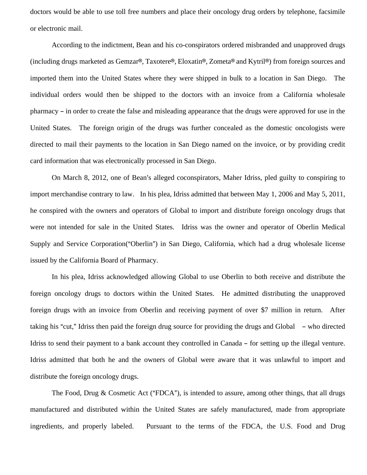doctors would be able to use toll free numbers and place their oncology drug orders by telephone, facsimile or electronic mail.

According to the indictment, Bean and his co-conspirators ordered misbranded and unapproved drugs (including drugs marketed as Gemzar®, Taxotere®, Eloxatin®, Zometa® and Kytril®) from foreign sources and imported them into the United States where they were shipped in bulk to a location in San Diego. The individual orders would then be shipped to the doctors with an invoice from a California wholesale pharmacy – in order to create the false and misleading appearance that the drugs were approved for use in the United States. The foreign origin of the drugs was further concealed as the domestic oncologists were directed to mail their payments to the location in San Diego named on the invoice, or by providing credit card information that was electronically processed in San Diego.

On March 8, 2012, one of Bean's alleged coconspirators, Maher Idriss, pled guilty to conspiring to import merchandise contrary to law. In his plea, Idriss admitted that between May 1, 2006 and May 5, 2011, he conspired with the owners and operators of Global to import and distribute foreign oncology drugs that were not intended for sale in the United States. Idriss was the owner and operator of Oberlin Medical Supply and Service Corporation("Oberlin") in San Diego, California, which had a drug wholesale license issued by the California Board of Pharmacy.

In his plea, Idriss acknowledged allowing Global to use Oberlin to both receive and distribute the foreign oncology drugs to doctors within the United States. He admitted distributing the unapproved foreign drugs with an invoice from Oberlin and receiving payment of over \$7 million in return. After taking his "cut," Idriss then paid the foreign drug source for providing the drugs and Global  $-$  who directed Idriss to send their payment to a bank account they controlled in Canada – for setting up the illegal venture. Idriss admitted that both he and the owners of Global were aware that it was unlawful to import and distribute the foreign oncology drugs.

The Food, Drug & Cosmetic Act ("FDCA"), is intended to assure, among other things, that all drugs manufactured and distributed within the United States are safely manufactured, made from appropriate ingredients, and properly labeled. Pursuant to the terms of the FDCA, the U.S. Food and Drug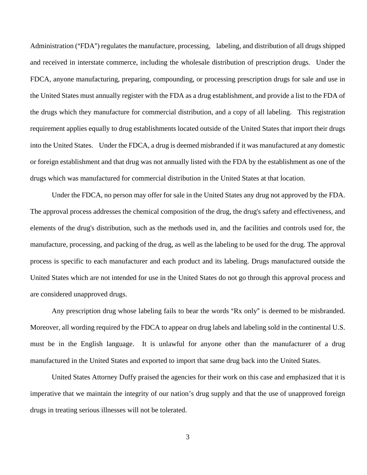Administration ("FDA") regulates the manufacture, processing, labeling, and distribution of all drugs shipped and received in interstate commerce, including the wholesale distribution of prescription drugs. Under the FDCA, anyone manufacturing, preparing, compounding, or processing prescription drugs for sale and use in the United States must annually register with the FDA as a drug establishment, and provide a list to the FDA of the drugs which they manufacture for commercial distribution, and a copy of all labeling. This registration requirement applies equally to drug establishments located outside of the United States that import their drugs into the United States. Under the FDCA, a drug is deemed misbranded if it was manufactured at any domestic or foreign establishment and that drug was not annually listed with the FDA by the establishment as one of the drugs which was manufactured for commercial distribution in the United States at that location.

Under the FDCA, no person may offer for sale in the United States any drug not approved by the FDA. The approval process addresses the chemical composition of the drug, the drug's safety and effectiveness, and elements of the drug's distribution, such as the methods used in, and the facilities and controls used for, the manufacture, processing, and packing of the drug, as well as the labeling to be used for the drug. The approval process is specific to each manufacturer and each product and its labeling. Drugs manufactured outside the United States which are not intended for use in the United States do not go through this approval process and are considered unapproved drugs.

Any prescription drug whose labeling fails to bear the words "Rx only" is deemed to be misbranded. Moreover, all wording required by the FDCA to appear on drug labels and labeling sold in the continental U.S. must be in the English language. It is unlawful for anyone other than the manufacturer of a drug manufactured in the United States and exported to import that same drug back into the United States.

United States Attorney Duffy praised the agencies for their work on this case and emphasized that it is imperative that we maintain the integrity of our nation's drug supply and that the use of unapproved foreign drugs in treating serious illnesses will not be tolerated.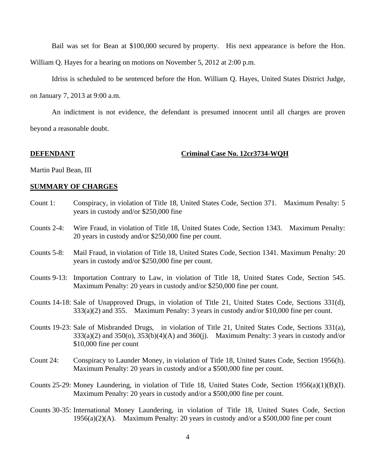Bail was set for Bean at \$100,000 secured by property. His next appearance is before the Hon.

William Q. Hayes for a hearing on motions on November 5, 2012 at 2:00 p.m.

Idriss is scheduled to be sentenced before the Hon. William Q. Hayes, United States District Judge,

on January 7, 2013 at 9:00 a.m.

An indictment is not evidence, the defendant is presumed innocent until all charges are proven beyond a reasonable doubt.

#### **DEFENDANT Criminal Case No. 12cr3734-WQH**

Martin Paul Bean, III

#### **SUMMARY OF CHARGES**

- Count 1: Conspiracy, in violation of Title 18, United States Code, Section 371. Maximum Penalty: 5 years in custody and/or \$250,000 fine
- Counts 2-4: Wire Fraud, in violation of Title 18, United States Code, Section 1343. Maximum Penalty: 20 years in custody and/or \$250,000 fine per count.
- Counts 5-8: Mail Fraud, in violation of Title 18, United States Code, Section 1341. Maximum Penalty: 20 years in custody and/or \$250,000 fine per count.
- Counts 9-13: Importation Contrary to Law, in violation of Title 18, United States Code, Section 545. Maximum Penalty: 20 years in custody and/or \$250,000 fine per count.
- Counts 14-18: Sale of Unapproved Drugs, in violation of Title 21, United States Code, Sections 331(d), 333(a)(2) and 355. Maximum Penalty: 3 years in custody and/or \$10,000 fine per count.
- Counts 19-23: Sale of Misbranded Drugs, in violation of Title 21, United States Code, Sections 331(a),  $333(a)(2)$  and  $350(a)$ ,  $353(b)(4)(A)$  and  $360(i)$ . Maximum Penalty: 3 years in custody and/or \$10,000 fine per count
- Count 24: Conspiracy to Launder Money, in violation of Title 18, United States Code, Section 1956(h). Maximum Penalty: 20 years in custody and/or a \$500,000 fine per count.
- Counts 25-29: Money Laundering, in violation of Title 18, United States Code, Section 1956(a)(1)(B)(I). Maximum Penalty: 20 years in custody and/or a \$500,000 fine per count.
- Counts 30-35: International Money Laundering, in violation of Title 18, United States Code, Section 1956(a)(2)(A). Maximum Penalty: 20 years in custody and/or a \$500,000 fine per count